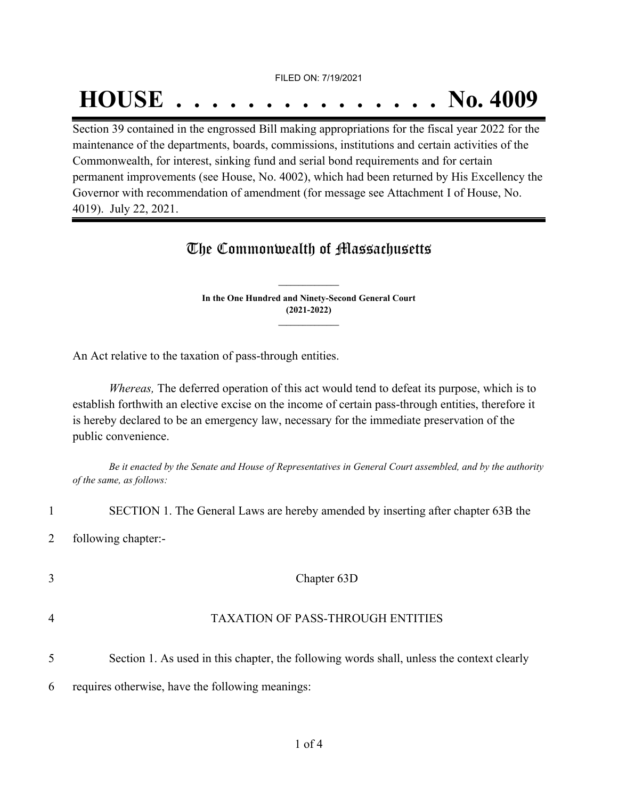FILED ON: 7/19/2021

## **HOUSE . . . . . . . . . . . . . . . No. 4009**

Section 39 contained in the engrossed Bill making appropriations for the fiscal year 2022 for the maintenance of the departments, boards, commissions, institutions and certain activities of the Commonwealth, for interest, sinking fund and serial bond requirements and for certain permanent improvements (see House, No. 4002), which had been returned by His Excellency the Governor with recommendation of amendment (for message see Attachment I of House, No. 4019). July 22, 2021.

## The Commonwealth of Massachusetts

**In the One Hundred and Ninety-Second General Court (2021-2022) \_\_\_\_\_\_\_\_\_\_\_\_\_\_\_**

**\_\_\_\_\_\_\_\_\_\_\_\_\_\_\_**

An Act relative to the taxation of pass-through entities.

*Whereas,* The deferred operation of this act would tend to defeat its purpose, which is to establish forthwith an elective excise on the income of certain pass-through entities, therefore it is hereby declared to be an emergency law, necessary for the immediate preservation of the public convenience.

Be it enacted by the Senate and House of Representatives in General Court assembled, and by the authority *of the same, as follows:*

1 SECTION 1. The General Laws are hereby amended by inserting after chapter 63B the 2 following chapter:-

 Chapter 63D TAXATION OF PASS-THROUGH ENTITIES Section 1. As used in this chapter, the following words shall, unless the context clearly requires otherwise, have the following meanings: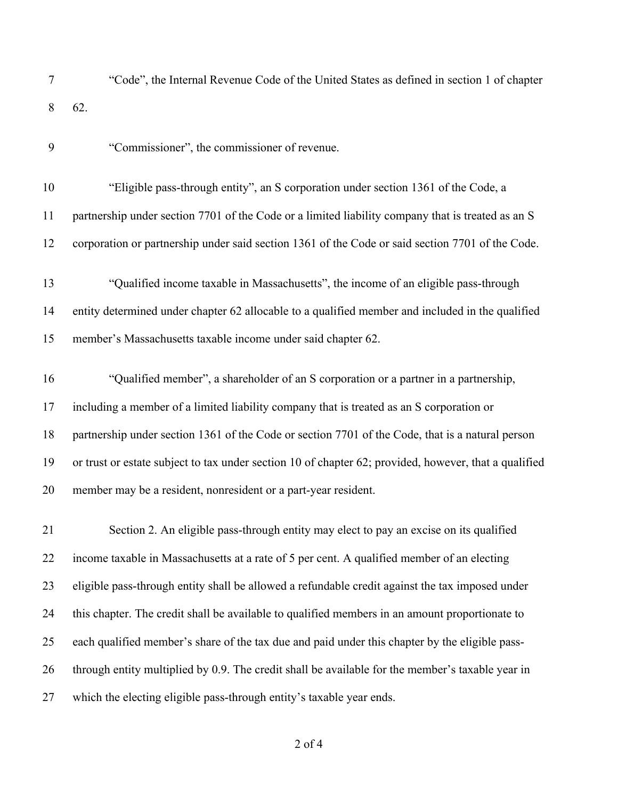- "Code", the Internal Revenue Code of the United States as defined in section 1 of chapter 62.
- "Commissioner", the commissioner of revenue.
- "Eligible pass-through entity", an S corporation under section 1361 of the Code, a partnership under section 7701 of the Code or a limited liability company that is treated as an S corporation or partnership under said section 1361 of the Code or said section 7701 of the Code.
- "Qualified income taxable in Massachusetts", the income of an eligible pass-through entity determined under chapter 62 allocable to a qualified member and included in the qualified member's Massachusetts taxable income under said chapter 62.
- "Qualified member", a shareholder of an S corporation or a partner in a partnership, including a member of a limited liability company that is treated as an S corporation or partnership under section 1361 of the Code or section 7701 of the Code, that is a natural person or trust or estate subject to tax under section 10 of chapter 62; provided, however, that a qualified member may be a resident, nonresident or a part-year resident.

 Section 2. An eligible pass-through entity may elect to pay an excise on its qualified income taxable in Massachusetts at a rate of 5 per cent. A qualified member of an electing eligible pass-through entity shall be allowed a refundable credit against the tax imposed under this chapter. The credit shall be available to qualified members in an amount proportionate to each qualified member's share of the tax due and paid under this chapter by the eligible pass-26 through entity multiplied by 0.9. The credit shall be available for the member's taxable year in which the electing eligible pass-through entity's taxable year ends.

of 4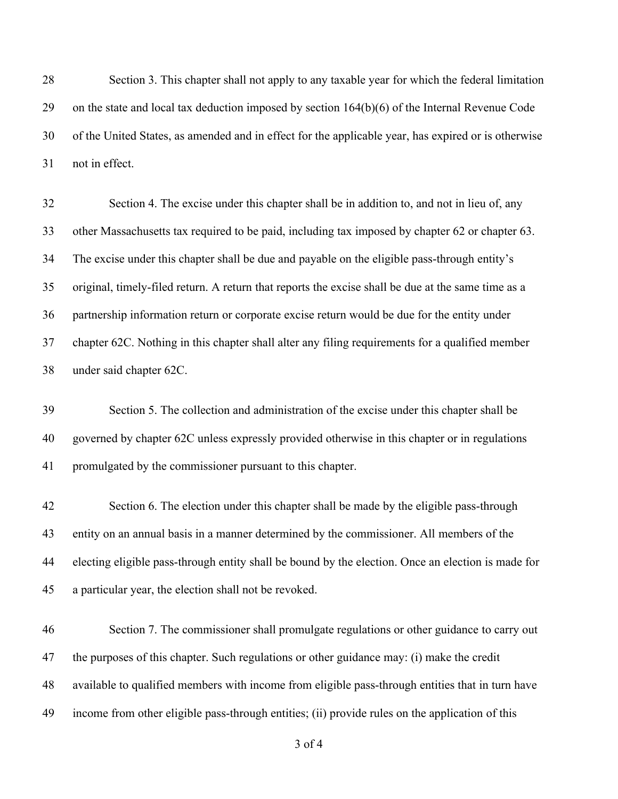Section 3. This chapter shall not apply to any taxable year for which the federal limitation on the state and local tax deduction imposed by section 164(b)(6) of the Internal Revenue Code of the United States, as amended and in effect for the applicable year, has expired or is otherwise not in effect.

 Section 4. The excise under this chapter shall be in addition to, and not in lieu of, any other Massachusetts tax required to be paid, including tax imposed by chapter 62 or chapter 63. The excise under this chapter shall be due and payable on the eligible pass-through entity's original, timely-filed return. A return that reports the excise shall be due at the same time as a partnership information return or corporate excise return would be due for the entity under chapter 62C. Nothing in this chapter shall alter any filing requirements for a qualified member under said chapter 62C.

 Section 5. The collection and administration of the excise under this chapter shall be governed by chapter 62C unless expressly provided otherwise in this chapter or in regulations promulgated by the commissioner pursuant to this chapter.

 Section 6. The election under this chapter shall be made by the eligible pass-through entity on an annual basis in a manner determined by the commissioner. All members of the electing eligible pass-through entity shall be bound by the election. Once an election is made for a particular year, the election shall not be revoked.

 Section 7. The commissioner shall promulgate regulations or other guidance to carry out the purposes of this chapter. Such regulations or other guidance may: (i) make the credit available to qualified members with income from eligible pass-through entities that in turn have income from other eligible pass-through entities; (ii) provide rules on the application of this

of 4